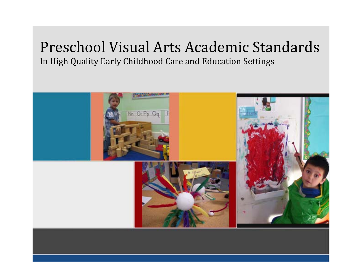# Preschool Visual Arts Academic StandardsIn High Quality Early Childhood Care and Education Settings

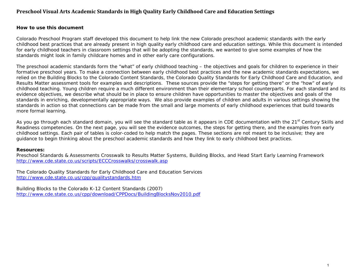### **Preschool Visual Arts Academic Standards in High Quality Early Childhood Care and Education Settings**

#### **How to use this document**

Colorado Preschool Program staff developed this document to help link the new Colorado preschool academic standards with the early childhood best practices that are already present in high quality early childhood care and education settings. While this document is intended for early childhood teachers in classroom settings that will be adopting the standards, we wanted to give some examples of how the standards might look in family childcare homes and in other early care configurations.

The preschool academic standards form the "what" of early childhood teaching – the objectives and goals for children to experience in their formative preschool years. To make a connection between early childhood best practices and the new academic standards expectations, we relied on the Building Blocks to the Colorado Content Standards, the Colorado Quality Standards for Early Childhood Care and Education, and Results Matter assessment tools for examples and descriptions. These sources provide the "steps for getting there" or the "how" of early childhood teaching. Young children require a much different environment than their elementary school counterparts. For each standard and its evidence objectives, we describe what should be in place to ensure children have opportunities to master the objectives and goals of the standards in enriching, developmentally appropriate ways. We also provide examples of children and adults in various settings showing the standards in action so that connections can be made from the small and large moments of early childhood experiences that build towards more formal learning.

As you go through each standard domain, you will see the standard table as it appears in CDE documentation with the 21<sup>st</sup> Century Skills and Readiness competencies. On the next page, you will see the evidence outcomes, the steps for getting there, and the examples from early childhood settings. Each pair of tables is color-coded to help match the pages. These sections are not meant to be inclusive; they are guidance to begin thinking about the preschool academic standards and how they link to early childhood best practices.

#### **Resources:**

Preschool Standards & Assessments Crosswalk to Results Matter Systems, Building Blocks, and Head Start Early Learning Framework http://www.cde.state.co.us/scripts/ECCCrosswalks/crosswalk.asp

The Colorado Quality Standards for Early Childhood Care and Education Services http://www.cde.state.co.us/cpp/qualitystandards.htm

Building Blocks to the Colorado K-12 Content Standards (2007) http://www.cde.state.co.us/cpp/download/CPPDocs/BuildingBlocksNov2010.pdf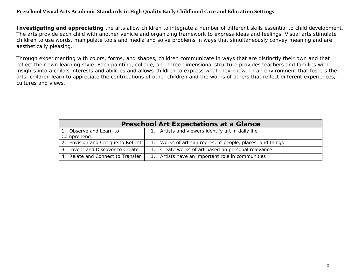### **Preschool Visual Arts Academic Standards in High Quality Early Childhood Care and Education Settings**

**Investigating and appreciating** the arts allow children to integrate a number of different skills essential to child development. The arts provide each child with another vehicle and organizing framework to express ideas and feelings. Visual arts stimulate children to use words, manipulate tools and media and solve problems in ways that simultaneously convey meaning and are aesthetically pleasing.

Through experimenting with colors, forms, and shapes, children communicate in ways that are distinctly their own and that reflect their own learning style. Each painting, collage, and three dimensional structure provides teachers and families with insights into a child's interests and abilities and allows children to express what they know. In an environment that fosters the arts, children learn to appreciate the contributions of other children and the works of others that reflect different experiences, cultures and views.

| <b>Preschool Art Expectations at a Glance</b> |                                                       |  |
|-----------------------------------------------|-------------------------------------------------------|--|
| 1. Observe and Learn to<br>Comprehend         | 1. Artists and viewers identify art in daily life     |  |
| 2. Envision and Critique to Reflect           | Works of art can represent people, places, and things |  |
| 3. Invent and Discover to Create              | Create works of art based on personal relevance       |  |
| 4. Relate and Connect to Transfer             | Artists have an important role in communities         |  |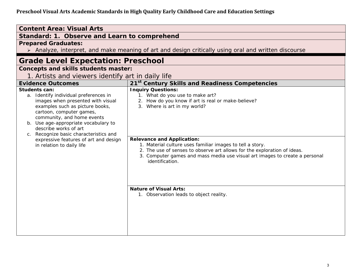| <b>Content Area: Visual Arts</b>                                                                                                                                                                                                                                                                           |                                                                                                                                                                                                                                                                                                                                                          |  |  |
|------------------------------------------------------------------------------------------------------------------------------------------------------------------------------------------------------------------------------------------------------------------------------------------------------------|----------------------------------------------------------------------------------------------------------------------------------------------------------------------------------------------------------------------------------------------------------------------------------------------------------------------------------------------------------|--|--|
|                                                                                                                                                                                                                                                                                                            | Standard: 1. Observe and Learn to comprehend                                                                                                                                                                                                                                                                                                             |  |  |
| <b>Prepared Graduates:</b>                                                                                                                                                                                                                                                                                 |                                                                                                                                                                                                                                                                                                                                                          |  |  |
|                                                                                                                                                                                                                                                                                                            | > Analyze, interpret, and make meaning of art and design critically using oral and written discourse                                                                                                                                                                                                                                                     |  |  |
| <b>Grade Level Expectation: Preschool</b>                                                                                                                                                                                                                                                                  |                                                                                                                                                                                                                                                                                                                                                          |  |  |
| <b>Concepts and skills students master:</b>                                                                                                                                                                                                                                                                |                                                                                                                                                                                                                                                                                                                                                          |  |  |
| 1. Artists and viewers identify art in daily life                                                                                                                                                                                                                                                          |                                                                                                                                                                                                                                                                                                                                                          |  |  |
| <b>Evidence Outcomes</b>                                                                                                                                                                                                                                                                                   | 21 <sup>st</sup> Century Skills and Readiness Competencies                                                                                                                                                                                                                                                                                               |  |  |
| <b>Students can:</b><br>a. Identify individual preferences in<br>images when presented with visual<br>examples such as picture books,<br>cartoon, computer games,<br>community, and home events<br>b. Use age-appropriate vocabulary to<br>describe works of art<br>c. Recognize basic characteristics and | <b>Inquiry Questions:</b><br>1. What do you use to make art?<br>2. How do you know if art is real or make-believe?<br>3. Where is art in my world?                                                                                                                                                                                                       |  |  |
| expressive features of art and design<br>in relation to daily life                                                                                                                                                                                                                                         | <b>Relevance and Application:</b><br>1. Material culture uses familiar images to tell a story.<br>2. The use of senses to observe art allows for the exploration of ideas.<br>3. Computer games and mass media use visual art images to create a personal<br>identification.<br><b>Nature of Visual Arts:</b><br>1. Observation leads to object reality. |  |  |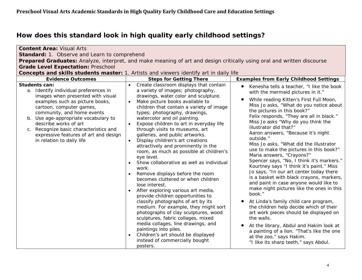| <b>Content Area: Visual Arts</b>                                                                                                                                                                                                                                                                                                                                                  |                                                                                                                                                                                                                                                                                                                                                                                                                                                                                                                                                                                                                                                                                                                                                                                                                                                                                                                                                                                                                                                                                                                       |                                                                                                                                                                                                                                                                                                                                                                                                                                                                                                                                                                                                                                                                                                                                                                                                                                                                                                                                                                                                                                                                                  |  |
|-----------------------------------------------------------------------------------------------------------------------------------------------------------------------------------------------------------------------------------------------------------------------------------------------------------------------------------------------------------------------------------|-----------------------------------------------------------------------------------------------------------------------------------------------------------------------------------------------------------------------------------------------------------------------------------------------------------------------------------------------------------------------------------------------------------------------------------------------------------------------------------------------------------------------------------------------------------------------------------------------------------------------------------------------------------------------------------------------------------------------------------------------------------------------------------------------------------------------------------------------------------------------------------------------------------------------------------------------------------------------------------------------------------------------------------------------------------------------------------------------------------------------|----------------------------------------------------------------------------------------------------------------------------------------------------------------------------------------------------------------------------------------------------------------------------------------------------------------------------------------------------------------------------------------------------------------------------------------------------------------------------------------------------------------------------------------------------------------------------------------------------------------------------------------------------------------------------------------------------------------------------------------------------------------------------------------------------------------------------------------------------------------------------------------------------------------------------------------------------------------------------------------------------------------------------------------------------------------------------------|--|
| Standard: 1. Observe and Learn to comprehend                                                                                                                                                                                                                                                                                                                                      |                                                                                                                                                                                                                                                                                                                                                                                                                                                                                                                                                                                                                                                                                                                                                                                                                                                                                                                                                                                                                                                                                                                       |                                                                                                                                                                                                                                                                                                                                                                                                                                                                                                                                                                                                                                                                                                                                                                                                                                                                                                                                                                                                                                                                                  |  |
| Prepared Graduates: Analyze, interpret, and make meaning of art and design critically using oral and written discourse                                                                                                                                                                                                                                                            |                                                                                                                                                                                                                                                                                                                                                                                                                                                                                                                                                                                                                                                                                                                                                                                                                                                                                                                                                                                                                                                                                                                       |                                                                                                                                                                                                                                                                                                                                                                                                                                                                                                                                                                                                                                                                                                                                                                                                                                                                                                                                                                                                                                                                                  |  |
| <b>Grade Level Expectation: Preschool</b>                                                                                                                                                                                                                                                                                                                                         |                                                                                                                                                                                                                                                                                                                                                                                                                                                                                                                                                                                                                                                                                                                                                                                                                                                                                                                                                                                                                                                                                                                       |                                                                                                                                                                                                                                                                                                                                                                                                                                                                                                                                                                                                                                                                                                                                                                                                                                                                                                                                                                                                                                                                                  |  |
| Concepts and skills students master: 1. Artists and viewers identify art in daily life                                                                                                                                                                                                                                                                                            |                                                                                                                                                                                                                                                                                                                                                                                                                                                                                                                                                                                                                                                                                                                                                                                                                                                                                                                                                                                                                                                                                                                       |                                                                                                                                                                                                                                                                                                                                                                                                                                                                                                                                                                                                                                                                                                                                                                                                                                                                                                                                                                                                                                                                                  |  |
| <b>Evidence Outcomes</b>                                                                                                                                                                                                                                                                                                                                                          | <b>Steps for Getting There</b>                                                                                                                                                                                                                                                                                                                                                                                                                                                                                                                                                                                                                                                                                                                                                                                                                                                                                                                                                                                                                                                                                        | <b>Examples from Early Childhood Settings</b>                                                                                                                                                                                                                                                                                                                                                                                                                                                                                                                                                                                                                                                                                                                                                                                                                                                                                                                                                                                                                                    |  |
| Students can:<br>a. Identify individual preferences in<br>images when presented with visual<br>examples such as picture books,<br>cartoon, computer games,<br>community, and home events<br>b. Use age-appropriate vocabulary to<br>describe works of art<br>Recognize basic characteristics and<br>$C_{1}$<br>expressive features of art and design<br>in relation to daily life | Create classroom displays that contain<br>$\bullet$<br>a variety of images; photography,<br>drawings, water color and sculpture.<br>Make picture books available to<br>$\bullet$<br>children that contain a variety of image<br>types; photography, drawings,<br>watercolor and oil painting.<br>Expose children to art in everyday life<br>through visits to museums, art<br>galleries, and public artworks.<br>Display children's art creations<br>attractively and prominently in the<br>room, as much as possible at children's<br>eye level.<br>Show collaborative as well as individual<br>work.<br>Remove displays before the room<br>becomes cluttered or when children<br>lose interest.<br>After exploring various art media,<br>$\bullet$<br>provide children opportunities to<br>classify photographs of art by its<br>medium. For example, they might sort<br>photographs of clay sculptures, wood<br>sculptures, fabric collages, mixed<br>media collages, line drawings, and<br>paintings into piles.<br>Children's art should be displayed<br>$\bullet$<br>instead of commercially bought<br>posters. | Kenesha tells a teacher, "I like the book<br>with the mermaid pictures in it."<br>While reading Kitten's First Full Moon,<br>Miss Jo asks, "What do you notice about<br>the pictures in this book?"<br>Felix responds, "They are all in black."<br>Miss Jo asks "Why do you think the<br>illustrator did that?"<br>Aaron answers, "Because it's night<br>outside."<br>Miss Jo asks, "What did the illustrator<br>use to make the pictures in this book?"<br>Maria answers, "Crayons?"<br>Spencer says, "No, I think it's markers."<br>Kourtney says "I think it's paint." Miss<br>Jo says, "In our art center today there<br>is a basket with black crayons, markers,<br>and paint in case anyone would like to<br>make night pictures like the ones in this<br>book."<br>At Linda's family child care program,<br>the children help decide which of their<br>art work pieces should be displayed on<br>the walls.<br>At the library, Abdul and Hakim look at<br>a painting of a lion. "That's like the one<br>at the zoo," says Hakim.<br>"I like its sharp teeth," says Abdul. |  |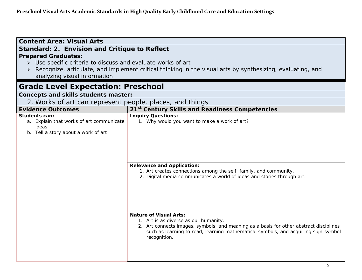| <b>Content Area: Visual Arts</b>                                                                          |                                                                                                                                                                                                                                                                        |  |  |
|-----------------------------------------------------------------------------------------------------------|------------------------------------------------------------------------------------------------------------------------------------------------------------------------------------------------------------------------------------------------------------------------|--|--|
| Standard: 2. Envision and Critique to Reflect                                                             |                                                                                                                                                                                                                                                                        |  |  |
| <b>Prepared Graduates:</b><br>> Use specific criteria to discuss and evaluate works of art                |                                                                                                                                                                                                                                                                        |  |  |
|                                                                                                           | Recognize, articulate, and implement critical thinking in the visual arts by synthesizing, evaluating, and                                                                                                                                                             |  |  |
| analyzing visual information                                                                              |                                                                                                                                                                                                                                                                        |  |  |
| <b>Grade Level Expectation: Preschool</b>                                                                 |                                                                                                                                                                                                                                                                        |  |  |
| Concepts and skills students master:                                                                      |                                                                                                                                                                                                                                                                        |  |  |
| 2. Works of art can represent people, places, and things                                                  |                                                                                                                                                                                                                                                                        |  |  |
| <b>Evidence Outcomes</b>                                                                                  | 21st Century Skills and Readiness Competencies                                                                                                                                                                                                                         |  |  |
| Students can:<br>a. Explain that works of art communicate<br>ideas<br>b. Tell a story about a work of art | <b>Inquiry Questions:</b><br>1. Why would you want to make a work of art?<br><b>Relevance and Application:</b><br>1. Art creates connections among the self, family, and community.<br>2. Digital media communicates a world of ideas and stories through art.         |  |  |
|                                                                                                           | <b>Nature of Visual Arts:</b><br>1. Art is as diverse as our humanity.<br>2. Art connects images, symbols, and meaning as a basis for other abstract disciplines<br>such as learning to read, learning mathematical symbols, and acquiring sign-symbol<br>recognition. |  |  |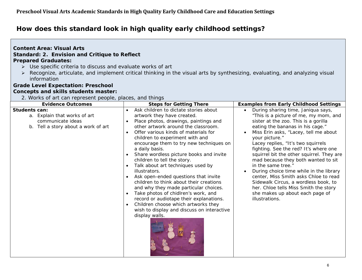#### **Content Area: Visual Arts Standard: 2. Envision and Critique to Reflect Prepared Graduates:**

- Use specific criteria to discuss and evaluate works of art
- Recognize, articulate, and implement critical thinking in the visual arts by synthesizing, evaluating, and analyzing visual information

#### **Grade Level Expectation: Preschool Concepts and skills students master:**

2. Works of art can represent people, places, and things

| <b>Evidence Outcomes</b>                                                                                         | <b>Steps for Getting There</b>                                                                                                                                                                                                                                                                                                                                                                                                                                                                                                                                                                                                                                                                                                                                | <b>Examples from Early Childhood Settings</b>                                                                                                                                                                                                                                                                                                                                                                                                                                                                                                                                                                                                      |
|------------------------------------------------------------------------------------------------------------------|---------------------------------------------------------------------------------------------------------------------------------------------------------------------------------------------------------------------------------------------------------------------------------------------------------------------------------------------------------------------------------------------------------------------------------------------------------------------------------------------------------------------------------------------------------------------------------------------------------------------------------------------------------------------------------------------------------------------------------------------------------------|----------------------------------------------------------------------------------------------------------------------------------------------------------------------------------------------------------------------------------------------------------------------------------------------------------------------------------------------------------------------------------------------------------------------------------------------------------------------------------------------------------------------------------------------------------------------------------------------------------------------------------------------------|
| <b>Students can:</b><br>a. Explain that works of art<br>communicate ideas<br>b. Tell a story about a work of art | Ask children to dictate stories about<br>artwork they have created.<br>Place photos, drawings, paintings and<br>other artwork around the classroom.<br>Offer various kinds of materials for<br>$\bullet$<br>children to experiment with and<br>encourage them to try new techniques on<br>a daily basis.<br>Share wordless picture books and invite<br>children to tell the story.<br>Talk about art techniques used by<br>illustrators.<br>Ask open-ended questions that invite<br>children to think about their creations<br>and why they made particular choices.<br>Take photos of chidlren's work, and<br>record or audiotape their explanations.<br>Children choose which artworks they<br>wish to display and discuss on interactive<br>display walls. | During sharing time, Janiqua says,<br>$\bullet$<br>"This is a picture of me, my mom, and<br>sister at the zoo. This is a gorilla<br>eating the bananas in his cage."<br>Miss Erin asks, "Lacey, tell me about<br>your picture."<br>Lacey replies, "It's two squirrels<br>fighting. See the red? It's where one<br>squirrel bit the other squirrel. They are<br>mad because they both wanted to sit<br>in the same tree."<br>During choice time while in the library<br>center, Miss Smith asks Chloe to read<br>Sidewalk Circus, a wordless book, to<br>her. Chloe tells Miss Smith the story<br>she makes up about each page of<br>illustrations. |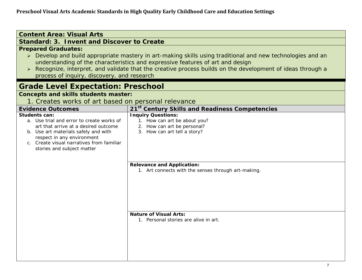| <b>Content Area: Visual Arts</b>                                                                                                                                                                                                                                                                                                                                                  |                                                            |  |
|-----------------------------------------------------------------------------------------------------------------------------------------------------------------------------------------------------------------------------------------------------------------------------------------------------------------------------------------------------------------------------------|------------------------------------------------------------|--|
| <b>Standard: 3. Invent and Discover to Create</b>                                                                                                                                                                                                                                                                                                                                 |                                                            |  |
| <b>Prepared Graduates:</b>                                                                                                                                                                                                                                                                                                                                                        |                                                            |  |
| > Develop and build appropriate mastery in art-making skills using traditional and new technologies and an<br>understanding of the characteristics and expressive features of art and design<br>Recognize, interpret, and validate that the creative process builds on the development of ideas through a<br>$\blacktriangleright$<br>process of inquiry, discovery, and research |                                                            |  |
| <b>Grade Level Expectation: Preschool</b>                                                                                                                                                                                                                                                                                                                                         |                                                            |  |
| <b>Concepts and skills students master:</b>                                                                                                                                                                                                                                                                                                                                       |                                                            |  |
| 1. Creates works of art based on personal relevance                                                                                                                                                                                                                                                                                                                               |                                                            |  |
| <b>Evidence Outcomes</b>                                                                                                                                                                                                                                                                                                                                                          | 21 <sup>st</sup> Century Skills and Readiness Competencies |  |
| Students can:<br>a. Use trial and error to create works of                                                                                                                                                                                                                                                                                                                        | <b>Inquiry Questions:</b><br>1. How can art be about you?  |  |
| art that arrive at a desired outcome                                                                                                                                                                                                                                                                                                                                              | 2. How can art be personal?                                |  |
| b. Use art materials safely and with                                                                                                                                                                                                                                                                                                                                              | 3. How can art tell a story?                               |  |
| respect in any environment<br>c. Create visual narratives from familiar                                                                                                                                                                                                                                                                                                           |                                                            |  |
| stories and subject matter                                                                                                                                                                                                                                                                                                                                                        |                                                            |  |
|                                                                                                                                                                                                                                                                                                                                                                                   |                                                            |  |
|                                                                                                                                                                                                                                                                                                                                                                                   | <b>Relevance and Application:</b>                          |  |
|                                                                                                                                                                                                                                                                                                                                                                                   | 1. Art connects with the senses through art-making.        |  |
|                                                                                                                                                                                                                                                                                                                                                                                   |                                                            |  |
|                                                                                                                                                                                                                                                                                                                                                                                   |                                                            |  |
|                                                                                                                                                                                                                                                                                                                                                                                   |                                                            |  |
|                                                                                                                                                                                                                                                                                                                                                                                   |                                                            |  |
|                                                                                                                                                                                                                                                                                                                                                                                   |                                                            |  |
|                                                                                                                                                                                                                                                                                                                                                                                   | <b>Nature of Visual Arts:</b>                              |  |
|                                                                                                                                                                                                                                                                                                                                                                                   | 1. Personal stories are alive in art.                      |  |
|                                                                                                                                                                                                                                                                                                                                                                                   |                                                            |  |
|                                                                                                                                                                                                                                                                                                                                                                                   |                                                            |  |
|                                                                                                                                                                                                                                                                                                                                                                                   |                                                            |  |
|                                                                                                                                                                                                                                                                                                                                                                                   |                                                            |  |
|                                                                                                                                                                                                                                                                                                                                                                                   |                                                            |  |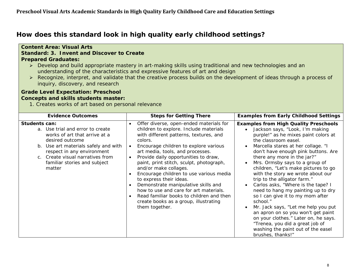#### **Content Area: Visual Arts Standard: 3. Invent and Discover to Create Prepared Graduates:**  Develop and build appropriate mastery in art-making skills using traditional and new technologies and an understanding of the characteristics and expressive features of art and design Recognize, interpret, and validate that the creative process builds on the development of ideas through a process of inquiry, discovery, and research **Grade Level Expectation: Preschool Concepts and skills students master:**  1. Creates works of art based on personal relevance Evidence Outcomes **Steps for Getting There Examples from Early Childhood Settings Students can:** a. Use trial and error to create works of art that arrive at a desired outcome  $\bullet$  Offer diverse, open-ended materials for children to explore. Include materials with different patterns, textures, and colors. **Examples from High Quality Preschools**  Jackson says, "Look, I'm making purple!" as he mixes paint colors at the classroom easel.

| desired outcome<br>b. Use art materials safely and with<br>respect in any environment<br>c. Create visual narratives from<br>familiar stories and subject<br>matter | COIOES.<br>Encourage children to explore various<br>art media, tools, and processes.<br>Provide daily opportunities to draw,<br>paint, print stitch, sculpt, photograph,<br>and/or make collages.<br>Encourage children to use various media<br>to express their ideas.<br>Demonstrate manipulative skills and<br>how to use and care for art materials. | the classroom easel.<br>Marcella stares at her collage. "I<br>don't have enough pink buttons. Are<br>there any more in the jar?"<br>Mrs. Ormsby says to a group of<br>children, "Let's make pictures to go<br>with the story we wrote about our<br>trip to the alligator farm."<br>Carlos asks, "Where is the tape? I<br>need to hang my painting up to dry |
|---------------------------------------------------------------------------------------------------------------------------------------------------------------------|----------------------------------------------------------------------------------------------------------------------------------------------------------------------------------------------------------------------------------------------------------------------------------------------------------------------------------------------------------|-------------------------------------------------------------------------------------------------------------------------------------------------------------------------------------------------------------------------------------------------------------------------------------------------------------------------------------------------------------|
|                                                                                                                                                                     | Read familiar books to children and then<br>create books as a group, illustrating<br>them together.                                                                                                                                                                                                                                                      | so I can give it to my mom after<br>school."<br>Mr. Jack says, "Let me help you put<br>an apron on so you won't get paint<br>on your clothes." Later on, he says.<br>"Trenea, you did a great job of<br>washing the paint out of the easel<br>brushes, thanks!"                                                                                             |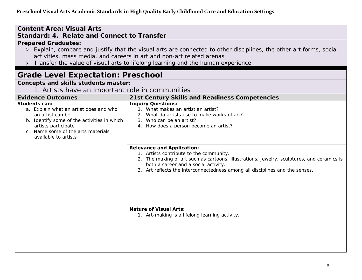### **Content Area: Visual Arts Standard: 4. Relate and Connect to Transfer**

### **Prepared Graduates:**

- Explain, compare and justify that the visual arts are connected to other disciplines, the other art forms, social activities, mass media, and careers in art and non-art related arenas
- > Transfer the value of visual arts to lifelong learning and the human experience

### **Grade Level Expectation: Preschool Concepts and skills students master:**  1. Artists have an important role in communities **Evidence Outcomes 21st Century Skills and Readiness Competencies Students can:** a. Explain what an artist does and who an artist can be b. Identify some of the activities in which artists participate c. Name some of the arts materials available to artists **Inquiry Questions:** 1. What makes an artist an artist? 2. What do artists use to make works of art? 3. Who can be an artist? 4. How does a person become an artist? **Relevance and Application:**  1. Artists contribute to the community. 2. The making of art such as cartoons, illustrations, jewelry, sculptures, and ceramics is both a career and a social activity. 3. Art reflects the interconnectedness among all disciplines and the senses. **Nature of Visual Arts:** 1. Art-making is a lifelong learning activity.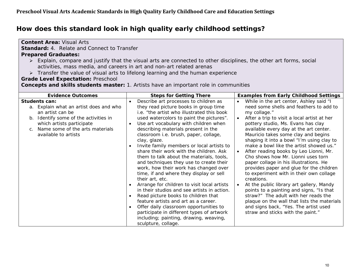| <b>Content Area: Visual Arts</b><br><b>Standard: 4. Relate and Connect to Transfer</b><br><b>Prepared Graduates:</b><br>► Explain, compare and justify that the visual arts are connected to other disciplines, the other art forms, social<br>activities, mass media, and careers in art and non-art related arenas<br>> Transfer the value of visual arts to lifelong learning and the human experience<br><b>Grade Level Expectation: Preschool</b><br><b>Concepts and skills students master:</b> 1. Artists have an important role in communities |                                                                                                                                                                                                                                                                                                                                                                                                                                                                                                                                                                                                                                                                                                                                                                                                                                                                                                                                                                        |                                                                                                                                                                                                                                                                                                                                                                                                                                                                                                                                                                                                                                                                                                                                                                                                                                                                           |
|--------------------------------------------------------------------------------------------------------------------------------------------------------------------------------------------------------------------------------------------------------------------------------------------------------------------------------------------------------------------------------------------------------------------------------------------------------------------------------------------------------------------------------------------------------|------------------------------------------------------------------------------------------------------------------------------------------------------------------------------------------------------------------------------------------------------------------------------------------------------------------------------------------------------------------------------------------------------------------------------------------------------------------------------------------------------------------------------------------------------------------------------------------------------------------------------------------------------------------------------------------------------------------------------------------------------------------------------------------------------------------------------------------------------------------------------------------------------------------------------------------------------------------------|---------------------------------------------------------------------------------------------------------------------------------------------------------------------------------------------------------------------------------------------------------------------------------------------------------------------------------------------------------------------------------------------------------------------------------------------------------------------------------------------------------------------------------------------------------------------------------------------------------------------------------------------------------------------------------------------------------------------------------------------------------------------------------------------------------------------------------------------------------------------------|
| <b>Evidence Outcomes</b>                                                                                                                                                                                                                                                                                                                                                                                                                                                                                                                               | <b>Steps for Getting There</b>                                                                                                                                                                                                                                                                                                                                                                                                                                                                                                                                                                                                                                                                                                                                                                                                                                                                                                                                         | <b>Examples from Early Childhood Settings</b>                                                                                                                                                                                                                                                                                                                                                                                                                                                                                                                                                                                                                                                                                                                                                                                                                             |
| <b>Students can:</b><br>a. Explain what an artist does and who<br>an artist can be<br>b. Identify some of the activities in<br>which artists participate<br>Name some of the arts materials<br>C.<br>available to artists                                                                                                                                                                                                                                                                                                                              | Describe art processes to children as<br>they read picture books in group time<br>i.e. "the artist who illustrated this book<br>used watercolors to paint the pictures".<br>Use art vocabulary with children when<br>describing materials present in the<br>classroom i.e. brush, paper, collage,<br>clay, glaze.<br>Invite family members or local artists to<br>share their work with the children. Ask<br>them to talk about the materials, tools,<br>and techniques they use to create their<br>work, how their work has changed over<br>time, if and where they display or sell<br>their art, etc.<br>Arrange for children to visit local artists<br>$\bullet$<br>in their studios and see artists in action.<br>Read picture books to children that<br>feature artists and art as a career.<br>Offer daily classroom opportunities to<br>$\bullet$<br>participate in different types of artwork<br>including; painting, drawing, weaving,<br>sculpture, collage. | While in the art center, Ashley said "I<br>need some shells and feathers to add to<br>my collage."<br>After a trip to visit a local artist at her<br>pottery studio, Ms. Evans has clay<br>available every day at the art center.<br>Mauricio takes some clay and begins<br>shaping it into a bowl "I'm using clay to<br>make a bowl like the artist showed us."<br>After reading books by Leo Lionni, Mr.<br>Cho shows how Mr. Lionni uses torn<br>paper collage in his illustrations. He<br>provides paper and glue for the children<br>to experiment with in their own collage<br>creations.<br>At the public library art gallery, Mandy<br>$\bullet$<br>points to a painting and signs, "Is that<br>straw?" The adult with her reads the<br>plaque on the wall that lists the materials<br>and signs back, "Yes. The artist used<br>straw and sticks with the paint." |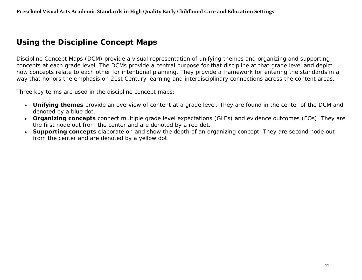# **Using the Discipline Concept Maps**

Discipline Concept Maps (DCM) provide a visual representation of unifying themes and organizing and supporting concepts at each grade level. The DCMs provide a central purpose for that discipline at that grade level and depict how concepts relate to each other for intentional planning. They provide a framework for entering the standards in a way that honors the emphasis on 21st Century learning and interdisciplinary connections across the content areas.

Three key terms are used in the discipline concept maps:

- **Unifying themes** provide an overview of content at a grade level. They are found in the center of the DCM and denoted by a blue dot.
- **Organizing concepts** connect multiple grade level expectations (GLEs) and evidence outcomes (EOs). They are the first node out from the center and are denoted by a red dot.
- **Supporting concepts** elaborate on and show the depth of an organizing concept. They are second node out from the center and are denoted by a yellow dot.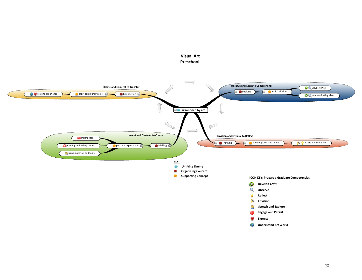

**Visual Art**

#### 12